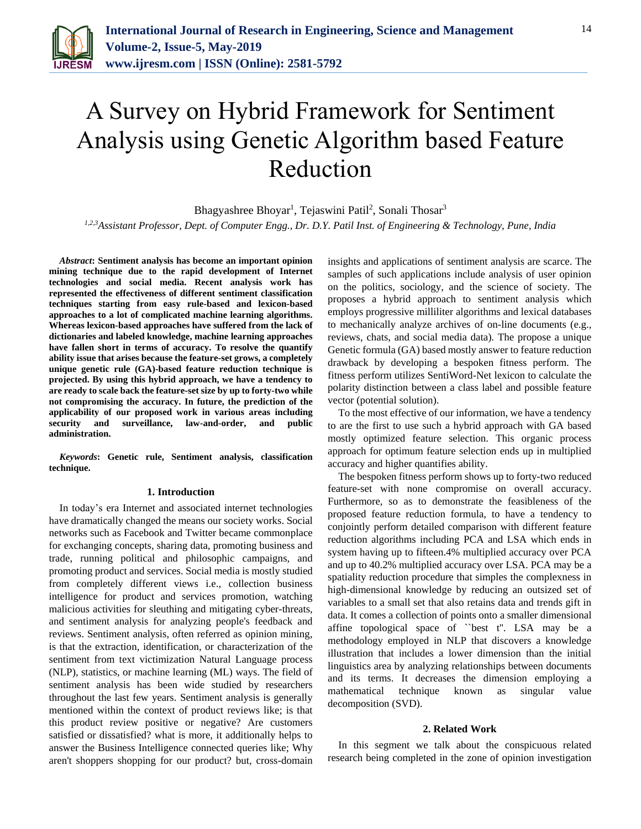

# A Survey on Hybrid Framework for Sentiment Analysis using Genetic Algorithm based Feature Reduction

Bhagyashree Bhoyar<sup>1</sup>, Tejaswini Patil<sup>2</sup>, Sonali Thosar<sup>3</sup>

*1,2,3Assistant Professor, Dept. of Computer Engg., Dr. D.Y. Patil Inst. of Engineering & Technology, Pune, India*

*Abstract***: Sentiment analysis has become an important opinion mining technique due to the rapid development of Internet technologies and social media. Recent analysis work has represented the effectiveness of different sentiment classification techniques starting from easy rule-based and lexicon-based approaches to a lot of complicated machine learning algorithms. Whereas lexicon-based approaches have suffered from the lack of dictionaries and labeled knowledge, machine learning approaches have fallen short in terms of accuracy. To resolve the quantify ability issue that arises because the feature-set grows, a completely unique genetic rule (GA)-based feature reduction technique is projected. By using this hybrid approach, we have a tendency to are ready to scale back the feature-set size by up to forty-two while not compromising the accuracy. In future, the prediction of the applicability of our proposed work in various areas including security and surveillance, law-and-order, and public administration.**

*Keywords***: Genetic rule, Sentiment analysis, classification technique.**

### **1. Introduction**

In today's era Internet and associated internet technologies have dramatically changed the means our society works. Social networks such as Facebook and Twitter became commonplace for exchanging concepts, sharing data, promoting business and trade, running political and philosophic campaigns, and promoting product and services. Social media is mostly studied from completely different views i.e., collection business intelligence for product and services promotion, watching malicious activities for sleuthing and mitigating cyber-threats, and sentiment analysis for analyzing people's feedback and reviews. Sentiment analysis, often referred as opinion mining, is that the extraction, identification, or characterization of the sentiment from text victimization Natural Language process (NLP), statistics, or machine learning (ML) ways. The field of sentiment analysis has been wide studied by researchers throughout the last few years. Sentiment analysis is generally mentioned within the context of product reviews like; is that this product review positive or negative? Are customers satisfied or dissatisfied? what is more, it additionally helps to answer the Business Intelligence connected queries like; Why aren't shoppers shopping for our product? but, cross-domain insights and applications of sentiment analysis are scarce. The samples of such applications include analysis of user opinion on the politics, sociology, and the science of society. The proposes a hybrid approach to sentiment analysis which employs progressive milliliter algorithms and lexical databases to mechanically analyze archives of on-line documents (e.g., reviews, chats, and social media data). The propose a unique Genetic formula (GA) based mostly answer to feature reduction drawback by developing a bespoken fitness perform. The fitness perform utilizes SentiWord-Net lexicon to calculate the polarity distinction between a class label and possible feature vector (potential solution).

To the most effective of our information, we have a tendency to are the first to use such a hybrid approach with GA based mostly optimized feature selection. This organic process approach for optimum feature selection ends up in multiplied accuracy and higher quantifies ability.

The bespoken fitness perform shows up to forty-two reduced feature-set with none compromise on overall accuracy. Furthermore, so as to demonstrate the feasibleness of the proposed feature reduction formula, to have a tendency to conjointly perform detailed comparison with different feature reduction algorithms including PCA and LSA which ends in system having up to fifteen.4% multiplied accuracy over PCA and up to 40.2% multiplied accuracy over LSA. PCA may be a spatiality reduction procedure that simples the complexness in high-dimensional knowledge by reducing an outsized set of variables to a small set that also retains data and trends gift in data. It comes a collection of points onto a smaller dimensional affine topological space of ``best t''. LSA may be a methodology employed in NLP that discovers a knowledge illustration that includes a lower dimension than the initial linguistics area by analyzing relationships between documents and its terms. It decreases the dimension employing a mathematical technique known as singular value decomposition (SVD).

#### **2. Related Work**

In this segment we talk about the conspicuous related research being completed in the zone of opinion investigation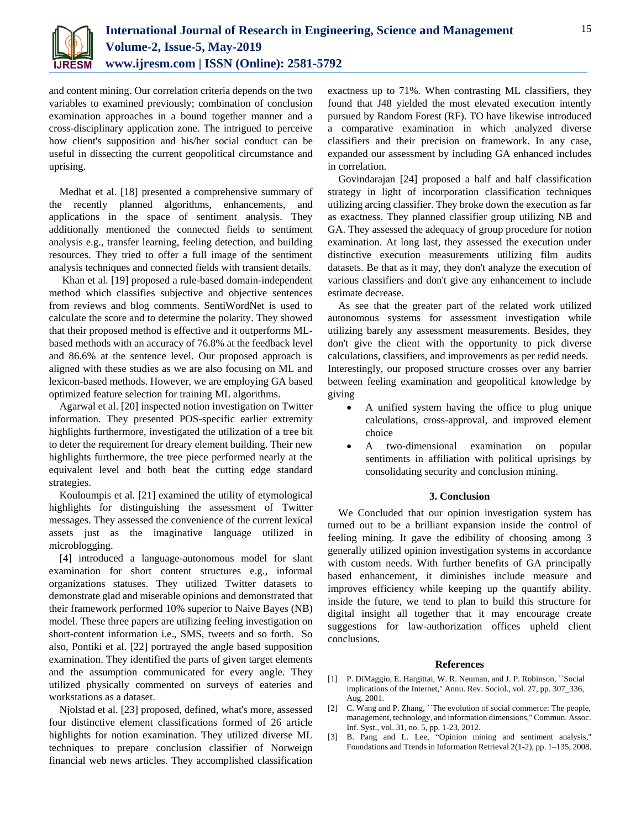

and content mining. Our correlation criteria depends on the two variables to examined previously; combination of conclusion examination approaches in a bound together manner and a cross-disciplinary application zone. The intrigued to perceive how client's supposition and his/her social conduct can be useful in dissecting the current geopolitical circumstance and uprising.

Medhat et al. [18] presented a comprehensive summary of the recently planned algorithms, enhancements, and applications in the space of sentiment analysis. They additionally mentioned the connected fields to sentiment analysis e.g., transfer learning, feeling detection, and building resources. They tried to offer a full image of the sentiment analysis techniques and connected fields with transient details.

Khan et al. [19] proposed a rule-based domain-independent method which classifies subjective and objective sentences from reviews and blog comments. SentiWordNet is used to calculate the score and to determine the polarity. They showed that their proposed method is effective and it outperforms MLbased methods with an accuracy of 76.8% at the feedback level and 86.6% at the sentence level. Our proposed approach is aligned with these studies as we are also focusing on ML and lexicon-based methods. However, we are employing GA based optimized feature selection for training ML algorithms.

Agarwal et al. [20] inspected notion investigation on Twitter information. They presented POS-specific earlier extremity highlights furthermore, investigated the utilization of a tree bit to deter the requirement for dreary element building. Their new highlights furthermore, the tree piece performed nearly at the equivalent level and both beat the cutting edge standard strategies.

Kouloumpis et al. [21] examined the utility of etymological highlights for distinguishing the assessment of Twitter messages. They assessed the convenience of the current lexical assets just as the imaginative language utilized in microblogging.

[4] introduced a language-autonomous model for slant examination for short content structures e.g., informal organizations statuses. They utilized Twitter datasets to demonstrate glad and miserable opinions and demonstrated that their framework performed 10% superior to Naive Bayes (NB) model. These three papers are utilizing feeling investigation on short-content information i.e., SMS, tweets and so forth. So also, Pontiki et al. [22] portrayed the angle based supposition examination. They identified the parts of given target elements and the assumption communicated for every angle. They utilized physically commented on surveys of eateries and workstations as a dataset.

Njolstad et al. [23] proposed, defined, what's more, assessed four distinctive element classifications formed of 26 article highlights for notion examination. They utilized diverse ML techniques to prepare conclusion classifier of Norweign financial web news articles. They accomplished classification

exactness up to 71%. When contrasting ML classifiers, they found that J48 yielded the most elevated execution intently pursued by Random Forest (RF). TO have likewise introduced a comparative examination in which analyzed diverse classifiers and their precision on framework. In any case, expanded our assessment by including GA enhanced includes in correlation.

Govindarajan [24] proposed a half and half classification strategy in light of incorporation classification techniques utilizing arcing classifier. They broke down the execution as far as exactness. They planned classifier group utilizing NB and GA. They assessed the adequacy of group procedure for notion examination. At long last, they assessed the execution under distinctive execution measurements utilizing film audits datasets. Be that as it may, they don't analyze the execution of various classifiers and don't give any enhancement to include estimate decrease.

As see that the greater part of the related work utilized autonomous systems for assessment investigation while utilizing barely any assessment measurements. Besides, they don't give the client with the opportunity to pick diverse calculations, classifiers, and improvements as per redid needs. Interestingly, our proposed structure crosses over any barrier between feeling examination and geopolitical knowledge by giving

- A unified system having the office to plug unique calculations, cross-approval, and improved element choice
- A two-dimensional examination on popular sentiments in affiliation with political uprisings by consolidating security and conclusion mining.

## **3. Conclusion**

We Concluded that our opinion investigation system has turned out to be a brilliant expansion inside the control of feeling mining. It gave the edibility of choosing among 3 generally utilized opinion investigation systems in accordance with custom needs. With further benefits of GA principally based enhancement, it diminishes include measure and improves efficiency while keeping up the quantify ability. inside the future, we tend to plan to build this structure for digital insight all together that it may encourage create suggestions for law-authorization offices upheld client conclusions.

## **References**

- [1] P. DiMaggio, E. Hargittai, W. R. Neuman, and J. P. Robinson, ``Social implications of the Internet,'' Annu. Rev. Sociol., vol. 27, pp. 307\_336, Aug. 2001.
- [2] C. Wang and P. Zhang, "The evolution of social commerce: The people, management, technology, and information dimensions,'' Commun. Assoc. Inf. Syst., vol. 31, no. 5, pp. 1-23, 2012.
- [3] B. Pang and L. Lee, "Opinion mining and sentiment analysis,'' Foundations and Trends in Information Retrieval 2(1-2), pp. 1–135, 2008.